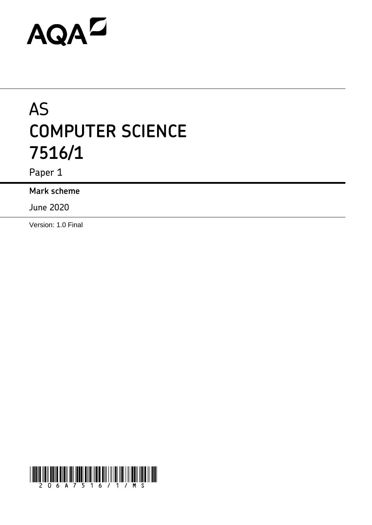# AQAD

# AS **COMPUTER SCIENCE 7516/1**

Paper 1

**Mark scheme**

June 2020

Version: 1.0 Final

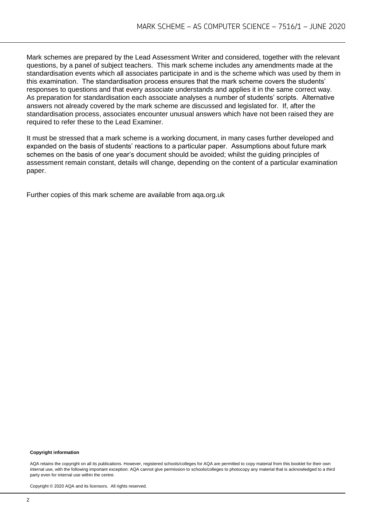Mark schemes are prepared by the Lead Assessment Writer and considered, together with the relevant questions, by a panel of subject teachers. This mark scheme includes any amendments made at the standardisation events which all associates participate in and is the scheme which was used by them in this examination. The standardisation process ensures that the mark scheme covers the students' responses to questions and that every associate understands and applies it in the same correct way. As preparation for standardisation each associate analyses a number of students' scripts. Alternative answers not already covered by the mark scheme are discussed and legislated for. If, after the standardisation process, associates encounter unusual answers which have not been raised they are required to refer these to the Lead Examiner.

It must be stressed that a mark scheme is a working document, in many cases further developed and expanded on the basis of students' reactions to a particular paper. Assumptions about future mark schemes on the basis of one year's document should be avoided; whilst the guiding principles of assessment remain constant, details will change, depending on the content of a particular examination paper.

Further copies of this mark scheme are available from aqa.org.uk

#### **Copyright information**

AQA retains the copyright on all its publications. However, registered schools/colleges for AQA are permitted to copy material from this booklet for their own internal use, with the following important exception: AQA cannot give permission to schools/colleges to photocopy any material that is acknowledged to a third party even for internal use within the centre.

Copyright © 2020 AQA and its licensors. All rights reserved.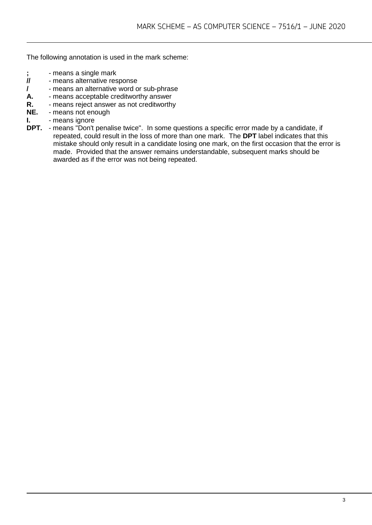The following annotation is used in the mark scheme:

- **;** means a single mark<br>**//** means alternative res
- **//** means alternative response
- **/**  means an alternative word or sub-phrase
- **A.** means acceptable creditworthy answer
- **R.** means reject answer as not creditworthy<br>**NE.** means not enough
- **NE.** means not enough
- **I.** means ignore
- **DPT.** means "Don't penalise twice". In some questions a specific error made by a candidate, if repeated, could result in the loss of more than one mark. The **DPT** label indicates that this mistake should only result in a candidate losing one mark, on the first occasion that the error is made. Provided that the answer remains understandable, subsequent marks should be awarded as if the error was not being repeated.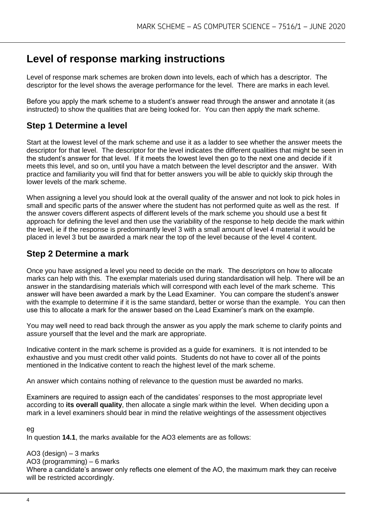## **Level of response marking instructions**

Level of response mark schemes are broken down into levels, each of which has a descriptor. The descriptor for the level shows the average performance for the level. There are marks in each level.

Before you apply the mark scheme to a student's answer read through the answer and annotate it (as instructed) to show the qualities that are being looked for. You can then apply the mark scheme.

### **Step 1 Determine a level**

Start at the lowest level of the mark scheme and use it as a ladder to see whether the answer meets the descriptor for that level. The descriptor for the level indicates the different qualities that might be seen in the student's answer for that level. If it meets the lowest level then go to the next one and decide if it meets this level, and so on, until you have a match between the level descriptor and the answer. With practice and familiarity you will find that for better answers you will be able to quickly skip through the lower levels of the mark scheme.

When assigning a level you should look at the overall quality of the answer and not look to pick holes in small and specific parts of the answer where the student has not performed quite as well as the rest. If the answer covers different aspects of different levels of the mark scheme you should use a best fit approach for defining the level and then use the variability of the response to help decide the mark within the level, ie if the response is predominantly level 3 with a small amount of level 4 material it would be placed in level 3 but be awarded a mark near the top of the level because of the level 4 content.

#### **Step 2 Determine a mark**

Once you have assigned a level you need to decide on the mark. The descriptors on how to allocate marks can help with this. The exemplar materials used during standardisation will help. There will be an answer in the standardising materials which will correspond with each level of the mark scheme. This answer will have been awarded a mark by the Lead Examiner. You can compare the student's answer with the example to determine if it is the same standard, better or worse than the example. You can then use this to allocate a mark for the answer based on the Lead Examiner's mark on the example.

You may well need to read back through the answer as you apply the mark scheme to clarify points and assure yourself that the level and the mark are appropriate.

Indicative content in the mark scheme is provided as a guide for examiners. It is not intended to be exhaustive and you must credit other valid points. Students do not have to cover all of the points mentioned in the Indicative content to reach the highest level of the mark scheme.

An answer which contains nothing of relevance to the question must be awarded no marks.

Examiners are required to assign each of the candidates' responses to the most appropriate level according to **its overall quality**, then allocate a single mark within the level. When deciding upon a mark in a level examiners should bear in mind the relative weightings of the assessment objectives

eg

In question **14.1**, the marks available for the AO3 elements are as follows:

AO3 (design) – 3 marks

AO3 (programming) – 6 marks

Where a candidate's answer only reflects one element of the AO, the maximum mark they can receive will be restricted accordingly.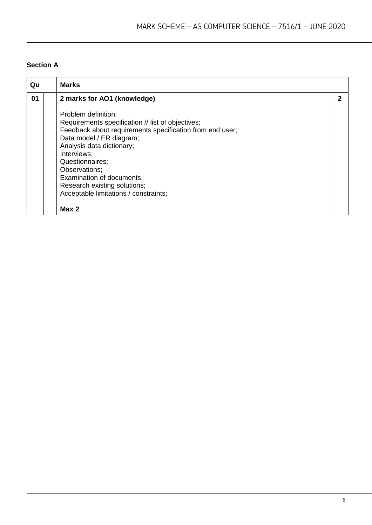#### **Section A**

| Qu | <b>Marks</b>                                                                                                                                                                                                                                                                                                                                                    |   |
|----|-----------------------------------------------------------------------------------------------------------------------------------------------------------------------------------------------------------------------------------------------------------------------------------------------------------------------------------------------------------------|---|
| 01 | 2 marks for AO1 (knowledge)                                                                                                                                                                                                                                                                                                                                     | 2 |
|    | Problem definition;<br>Requirements specification // list of objectives;<br>Feedback about requirements specification from end user;<br>Data model / ER diagram;<br>Analysis data dictionary;<br>Interviews;<br>Questionnaires;<br>Observations;<br>Examination of documents;<br>Research existing solutions;<br>Acceptable limitations / constraints;<br>Max 2 |   |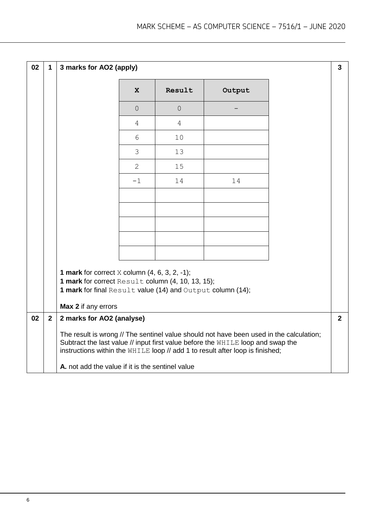| 02 | $\mathbf 1$  | 3 marks for AO2 (apply)                                                                                                                                                                             |                |                |                                                                                                                                                                                                                                                             | $\mathbf{3}$ |
|----|--------------|-----------------------------------------------------------------------------------------------------------------------------------------------------------------------------------------------------|----------------|----------------|-------------------------------------------------------------------------------------------------------------------------------------------------------------------------------------------------------------------------------------------------------------|--------------|
|    |              |                                                                                                                                                                                                     | $\mathbf{x}$   | Result         | Output                                                                                                                                                                                                                                                      |              |
|    |              |                                                                                                                                                                                                     | $\overline{0}$ | $\overline{0}$ |                                                                                                                                                                                                                                                             |              |
|    |              |                                                                                                                                                                                                     | 4              | 4              |                                                                                                                                                                                                                                                             |              |
|    |              |                                                                                                                                                                                                     | 6              | 10             |                                                                                                                                                                                                                                                             |              |
|    |              |                                                                                                                                                                                                     | 3              | 13             |                                                                                                                                                                                                                                                             |              |
|    |              |                                                                                                                                                                                                     | $\overline{2}$ | 15             |                                                                                                                                                                                                                                                             |              |
|    |              |                                                                                                                                                                                                     | $-1$           | 14             | 14                                                                                                                                                                                                                                                          |              |
|    |              |                                                                                                                                                                                                     |                |                |                                                                                                                                                                                                                                                             |              |
|    |              |                                                                                                                                                                                                     |                |                |                                                                                                                                                                                                                                                             |              |
|    |              |                                                                                                                                                                                                     |                |                |                                                                                                                                                                                                                                                             |              |
|    |              |                                                                                                                                                                                                     |                |                |                                                                                                                                                                                                                                                             |              |
|    |              |                                                                                                                                                                                                     |                |                |                                                                                                                                                                                                                                                             |              |
|    |              | <b>1 mark</b> for correct $X$ column $(4, 6, 3, 2, -1)$ ;<br>1 mark for correct Result column (4, 10, 13, 15);<br>1 mark for final Result value (14) and Output column (14);<br>Max 2 if any errors |                |                |                                                                                                                                                                                                                                                             |              |
| 02 | $\mathbf{2}$ | 2 marks for AO2 (analyse)                                                                                                                                                                           |                |                |                                                                                                                                                                                                                                                             | $2^{\circ}$  |
|    |              |                                                                                                                                                                                                     |                |                | The result is wrong // The sentinel value should not have been used in the calculation;<br>Subtract the last value // input first value before the WHILE loop and swap the<br>instructions within the WHILE loop // add 1 to result after loop is finished; |              |
|    |              | A. not add the value if it is the sentinel value                                                                                                                                                    |                |                |                                                                                                                                                                                                                                                             |              |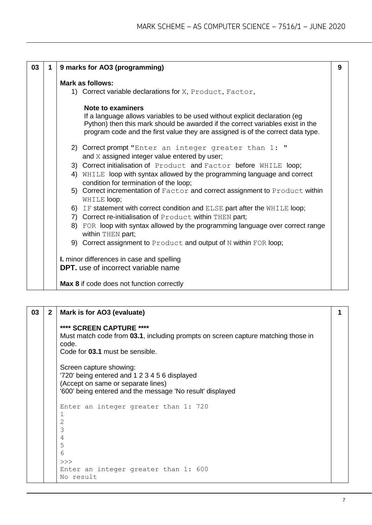| 03 | 1 | 9 marks for AO3 (programming)                                                                                                                                                                                                                                         | 9 |
|----|---|-----------------------------------------------------------------------------------------------------------------------------------------------------------------------------------------------------------------------------------------------------------------------|---|
|    |   | <b>Mark as follows:</b><br>1) Correct variable declarations for X, Product, Factor,                                                                                                                                                                                   |   |
|    |   | Note to examiners<br>If a language allows variables to be used without explicit declaration (eg)<br>Python) then this mark should be awarded if the correct variables exist in the<br>program code and the first value they are assigned is of the correct data type. |   |
|    |   | 2) Correct prompt "Enter an integer greater than 1: "<br>and X assigned integer value entered by user;                                                                                                                                                                |   |
|    |   | 3) Correct initialisation of Product and Factor before WHILE loop;                                                                                                                                                                                                    |   |
|    |   | 4) WHILE loop with syntax allowed by the programming language and correct<br>condition for termination of the loop;                                                                                                                                                   |   |
|    |   | 5) Correct incrementation of Factor and correct assignment to Product within<br>WHILE loop;                                                                                                                                                                           |   |
|    |   | 6) IF statement with correct condition and ELSE part after the WHILE loop;                                                                                                                                                                                            |   |
|    |   | 7) Correct re-initialisation of Product within THEN part;                                                                                                                                                                                                             |   |
|    |   | 8) FOR loop with syntax allowed by the programming language over correct range<br>within THEN part;                                                                                                                                                                   |   |
|    |   | 9) Correct assignment to Product and output of N within FOR loop;                                                                                                                                                                                                     |   |
|    |   | I. minor differences in case and spelling<br><b>DPT.</b> use of incorrect variable name                                                                                                                                                                               |   |
|    |   | Max 8 if code does not function correctly                                                                                                                                                                                                                             |   |

| 03 | $\mathbf{2}$ | Mark is for AO3 (evaluate)                                                                                                                                                  |  |
|----|--------------|-----------------------------------------------------------------------------------------------------------------------------------------------------------------------------|--|
|    |              | **** SCREEN CAPTURE ****<br>Must match code from 03.1, including prompts on screen capture matching those in<br>code.<br>Code for 03.1 must be sensible.                    |  |
|    |              | Screen capture showing:<br>'720' being entered and 1 2 3 4 5 6 displayed<br>(Accept on same or separate lines)<br>'600' being entered and the message 'No result' displayed |  |
|    |              | Enter an integer greater than 1: 720<br>1<br>2<br>3<br>4<br>5<br>6<br>>><br>Enter an integer greater than 1: 600<br>No result                                               |  |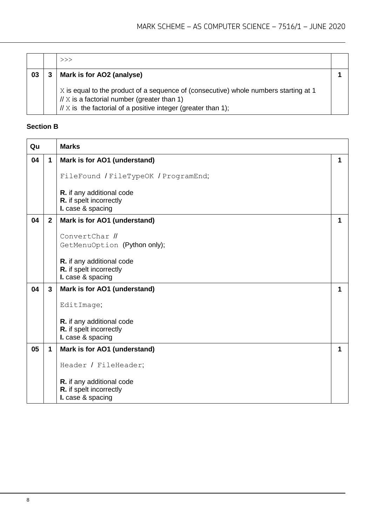|    | >>                                                                                                                                                                                                       |  |
|----|----------------------------------------------------------------------------------------------------------------------------------------------------------------------------------------------------------|--|
| 03 | Mark is for AO2 (analyse)                                                                                                                                                                                |  |
|    | X is equal to the product of a sequence of (consecutive) whole numbers starting at 1<br>$// X is a factorial number (greater than 1)$<br>$// X$ is the factorial of a positive integer (greater than 1); |  |

#### **Section B**

| Qu |                | <b>Marks</b>                                                              |   |
|----|----------------|---------------------------------------------------------------------------|---|
| 04 | $\mathbf{1}$   | Mark is for AO1 (understand)                                              | 1 |
|    |                | FileFound / FileTypeOK / ProgramEnd;                                      |   |
|    |                | R. if any additional code<br>R. if spelt incorrectly<br>I. case & spacing |   |
| 04 | 2 <sup>1</sup> | Mark is for AO1 (understand)                                              | 1 |
|    |                | ConvertChar //                                                            |   |
|    |                | GetMenuOption (Python only);                                              |   |
|    |                | R. if any additional code<br>R. if spelt incorrectly<br>I. case & spacing |   |
| 04 | 3              | Mark is for AO1 (understand)                                              | 1 |
|    |                | EditImage;                                                                |   |
|    |                | R. if any additional code<br>R. if spelt incorrectly<br>I. case & spacing |   |
| 05 | $\mathbf{1}$   | Mark is for AO1 (understand)                                              | 1 |
|    |                | Header / FileHeader;                                                      |   |
|    |                | R. if any additional code<br>R. if spelt incorrectly<br>I. case & spacing |   |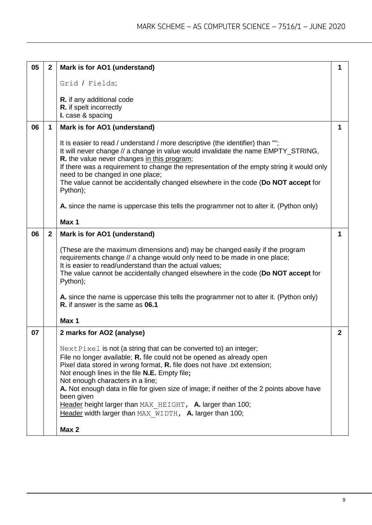| 05 | $\mathbf{2}$ | Mark is for AO1 (understand)                                                                                                                                                                                                                                                                                                                                                                                                                                                                                                                                                        | 1            |
|----|--------------|-------------------------------------------------------------------------------------------------------------------------------------------------------------------------------------------------------------------------------------------------------------------------------------------------------------------------------------------------------------------------------------------------------------------------------------------------------------------------------------------------------------------------------------------------------------------------------------|--------------|
|    |              | Grid / Fields;                                                                                                                                                                                                                                                                                                                                                                                                                                                                                                                                                                      |              |
|    |              | R. if any additional code<br>R. if spelt incorrectly<br>I. case & spacing                                                                                                                                                                                                                                                                                                                                                                                                                                                                                                           |              |
| 06 | 1            | Mark is for AO1 (understand)                                                                                                                                                                                                                                                                                                                                                                                                                                                                                                                                                        | 1            |
|    |              | It is easier to read / understand / more descriptive (the identifier) than "";<br>It will never change // a change in value would invalidate the name EMPTY_STRING,<br>R. the value never changes in this program;<br>If there was a requirement to change the representation of the empty string it would only<br>need to be changed in one place;<br>The value cannot be accidentally changed elsewhere in the code (Do NOT accept for<br>Python);<br>A. since the name is uppercase this tells the programmer not to alter it. (Python only)                                     |              |
|    |              | Max 1                                                                                                                                                                                                                                                                                                                                                                                                                                                                                                                                                                               |              |
| 06 | $\mathbf{2}$ | Mark is for AO1 (understand)                                                                                                                                                                                                                                                                                                                                                                                                                                                                                                                                                        | 1            |
|    |              | (These are the maximum dimensions and) may be changed easily if the program<br>requirements change // a change would only need to be made in one place;<br>It is easier to read/understand than the actual values;<br>The value cannot be accidentally changed elsewhere in the code (Do NOT accept for<br>Python);<br>A. since the name is uppercase this tells the programmer not to alter it. (Python only)                                                                                                                                                                      |              |
|    |              | R. if answer is the same as 06.1                                                                                                                                                                                                                                                                                                                                                                                                                                                                                                                                                    |              |
|    |              | Max 1                                                                                                                                                                                                                                                                                                                                                                                                                                                                                                                                                                               |              |
| 07 |              | 2 marks for AO2 (analyse)<br>NextPixel is not (a string that can be converted to) an integer;<br>File no longer available; R. file could not be opened as already open<br>Pixel data stored in wrong format, R. file does not have .txt extension;<br>Not enough lines in the file N.E. Empty file;<br>Not enough characters in a line;<br>A. Not enough data in file for given size of image; if neither of the 2 points above have<br>been given<br>Header height larger than MAX HEIGHT, A. larger than 100;<br>Header width larger than MAX WIDTH, A. larger than 100;<br>Max 2 | $\mathbf{2}$ |
|    |              |                                                                                                                                                                                                                                                                                                                                                                                                                                                                                                                                                                                     |              |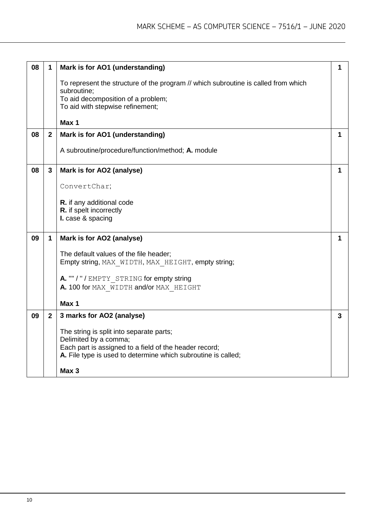| 08 | 1              | Mark is for AO1 (understanding)                                                    | 1            |
|----|----------------|------------------------------------------------------------------------------------|--------------|
|    |                | To represent the structure of the program // which subroutine is called from which |              |
|    |                | subroutine;                                                                        |              |
|    |                | To aid decomposition of a problem;                                                 |              |
|    |                | To aid with stepwise refinement;                                                   |              |
|    |                |                                                                                    |              |
|    |                | Max 1                                                                              |              |
| 08 | $\overline{2}$ | Mark is for AO1 (understanding)                                                    | 1            |
|    |                | A subroutine/procedure/function/method; A. module                                  |              |
| 08 | 3              | Mark is for AO2 (analyse)                                                          | 1            |
|    |                | ConvertChar;                                                                       |              |
|    |                | R. if any additional code                                                          |              |
|    |                | R. if spelt incorrectly                                                            |              |
|    |                | I. case & spacing                                                                  |              |
|    |                |                                                                                    |              |
| 09 | $\mathbf 1$    | Mark is for AO2 (analyse)                                                          | 1            |
|    |                | The default values of the file header;                                             |              |
|    |                | Empty string, MAX WIDTH, MAX HEIGHT, empty string;                                 |              |
|    |                |                                                                                    |              |
|    |                | A. ""/"/EMPTY STRING for empty string                                              |              |
|    |                | A. 100 for MAX WIDTH and/or MAX HEIGHT                                             |              |
|    |                |                                                                                    |              |
|    |                | Max 1                                                                              |              |
| 09 | $\mathbf{2}$   | 3 marks for AO2 (analyse)                                                          | $\mathbf{3}$ |
|    |                |                                                                                    |              |
|    |                | The string is split into separate parts;                                           |              |
|    |                | Delimited by a comma;                                                              |              |
|    |                | Each part is assigned to a field of the header record;                             |              |
|    |                | A. File type is used to determine which subroutine is called;                      |              |
|    |                |                                                                                    |              |
|    |                | Max 3                                                                              |              |
|    |                |                                                                                    |              |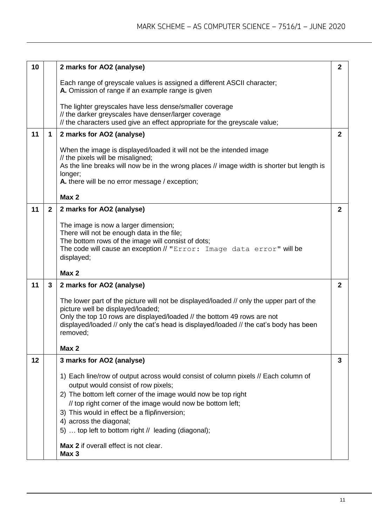| 10 |              | 2 marks for AO2 (analyse)                                                                                                                                                                                                                                                                                      | $\mathbf{2}$   |
|----|--------------|----------------------------------------------------------------------------------------------------------------------------------------------------------------------------------------------------------------------------------------------------------------------------------------------------------------|----------------|
|    |              | Each range of greyscale values is assigned a different ASCII character;<br>A. Omission of range if an example range is given                                                                                                                                                                                   |                |
|    |              | The lighter greyscales have less dense/smaller coverage<br>// the darker greyscales have denser/larger coverage<br>// the characters used give an effect appropriate for the greyscale value;                                                                                                                  |                |
| 11 | $\mathbf 1$  | 2 marks for AO2 (analyse)                                                                                                                                                                                                                                                                                      | $\mathbf{2}$   |
|    |              | When the image is displayed/loaded it will not be the intended image<br>// the pixels will be misaligned;<br>As the line breaks will now be in the wrong places // image width is shorter but length is<br>longer;<br>A. there will be no error message / exception;                                           |                |
|    |              | Max 2                                                                                                                                                                                                                                                                                                          |                |
| 11 | $\mathbf{2}$ | 2 marks for AO2 (analyse)                                                                                                                                                                                                                                                                                      | $\overline{2}$ |
|    |              | The image is now a larger dimension;<br>There will not be enough data in the file;<br>The bottom rows of the image will consist of dots;<br>The code will cause an exception // "Error: Image data error" will be<br>displayed;                                                                                |                |
|    |              | Max 2                                                                                                                                                                                                                                                                                                          |                |
| 11 | 3            | 2 marks for AO2 (analyse)                                                                                                                                                                                                                                                                                      | $\mathbf{2}$   |
|    |              | The lower part of the picture will not be displayed/loaded // only the upper part of the<br>picture well be displayed/loaded;<br>Only the top 10 rows are displayed/loaded // the bottom 49 rows are not<br>displayed/loaded // only the cat's head is displayed/loaded // the cat's body has been<br>removed; |                |
|    |              | Max 2                                                                                                                                                                                                                                                                                                          |                |
| 12 |              | 3 marks for AO2 (analyse)                                                                                                                                                                                                                                                                                      | 3              |
|    |              | 1) Each line/row of output across would consist of column pixels // Each column of<br>output would consist of row pixels;<br>2) The bottom left corner of the image would now be top right<br>// top right corner of the image would now be bottom left;<br>3) This would in effect be a flip/inversion;       |                |
|    |              | 4) across the diagonal;                                                                                                                                                                                                                                                                                        |                |
|    |              | 5)  top left to bottom right // leading (diagonal);                                                                                                                                                                                                                                                            |                |
|    |              | Max 2 if overall effect is not clear.<br>Max 3                                                                                                                                                                                                                                                                 |                |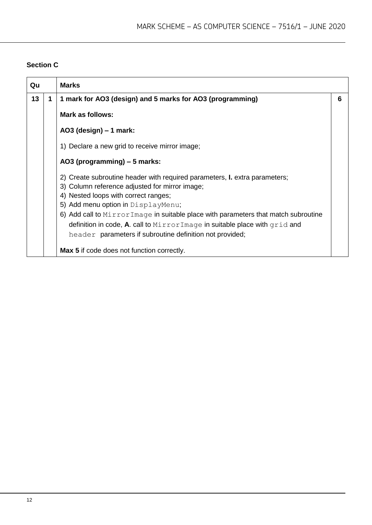#### **Section C**

| Qu |   | <b>Marks</b>                                                                                                                                                                                                                                                                                                                                                                                                                                          |   |
|----|---|-------------------------------------------------------------------------------------------------------------------------------------------------------------------------------------------------------------------------------------------------------------------------------------------------------------------------------------------------------------------------------------------------------------------------------------------------------|---|
| 13 | 1 | 1 mark for AO3 (design) and 5 marks for AO3 (programming)                                                                                                                                                                                                                                                                                                                                                                                             | 6 |
|    |   | <b>Mark as follows:</b>                                                                                                                                                                                                                                                                                                                                                                                                                               |   |
|    |   | AO3 (design) $-1$ mark:                                                                                                                                                                                                                                                                                                                                                                                                                               |   |
|    |   | 1) Declare a new grid to receive mirror image;                                                                                                                                                                                                                                                                                                                                                                                                        |   |
|    |   | AO3 (programming) – 5 marks:                                                                                                                                                                                                                                                                                                                                                                                                                          |   |
|    |   | 2) Create subroutine header with required parameters, <b>I.</b> extra parameters;<br>3) Column reference adjusted for mirror image;<br>4) Nested loops with correct ranges;<br>5) Add menu option in DisplayMenu;<br>6) Add call to MirrorImage in suitable place with parameters that match subroutine<br>definition in code, A. call to $MirrorImage$ in suitable place with $grid$ and<br>header parameters if subroutine definition not provided; |   |
|    |   | <b>Max 5</b> if code does not function correctly.                                                                                                                                                                                                                                                                                                                                                                                                     |   |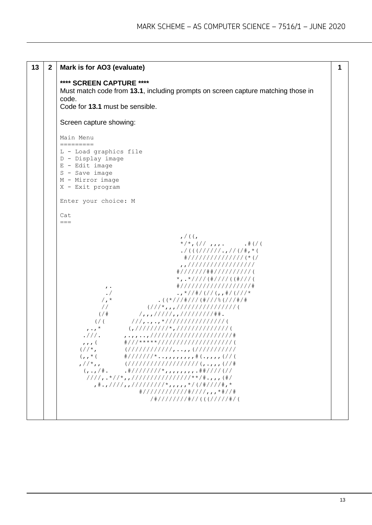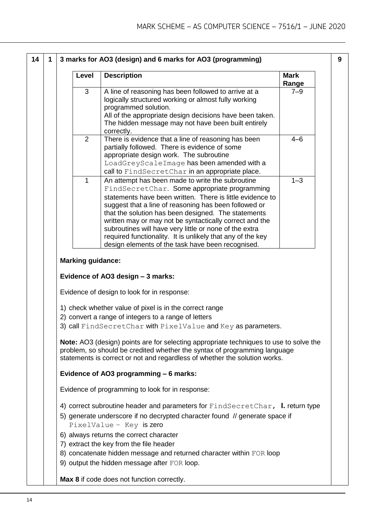**9**

| 3                        |                                                                                                                                                                                                                                                                                                                                                                                                                                                                                                                       | Range   |
|--------------------------|-----------------------------------------------------------------------------------------------------------------------------------------------------------------------------------------------------------------------------------------------------------------------------------------------------------------------------------------------------------------------------------------------------------------------------------------------------------------------------------------------------------------------|---------|
|                          | A line of reasoning has been followed to arrive at a<br>logically structured working or almost fully working<br>programmed solution.<br>All of the appropriate design decisions have been taken.<br>The hidden message may not have been built entirely                                                                                                                                                                                                                                                               | $7 - 9$ |
| $\overline{2}$           | correctly.<br>There is evidence that a line of reasoning has been<br>partially followed. There is evidence of some<br>appropriate design work. The subroutine<br>LoadGreyScaleImage has been amended with a<br>call to FindSecretChar in an appropriate place.                                                                                                                                                                                                                                                        | $4 - 6$ |
| $\mathbf{1}$             | An attempt has been made to write the subroutine<br>FindSecretChar. Some appropriate programming<br>statements have been written. There is little evidence to<br>suggest that a line of reasoning has been followed or<br>that the solution has been designed. The statements<br>written may or may not be syntactically correct and the<br>subroutines will have very little or none of the extra<br>required functionality. It is unlikely that any of the key<br>design elements of the task have been recognised. | $1 - 3$ |
| <b>Marking guidance:</b> |                                                                                                                                                                                                                                                                                                                                                                                                                                                                                                                       |         |
|                          | Evidence of AO3 design - 3 marks:                                                                                                                                                                                                                                                                                                                                                                                                                                                                                     |         |
|                          | Evidence of design to look for in response:                                                                                                                                                                                                                                                                                                                                                                                                                                                                           |         |
|                          | 1) check whether value of pixel is in the correct range<br>2) convert a range of integers to a range of letters<br>3) call FindSecretChar with PixelValue and Key as parameters.                                                                                                                                                                                                                                                                                                                                      |         |
|                          | <b>Note:</b> AO3 (design) points are for selecting appropriate techniques to use to solve the<br>problem, so should be credited whether the syntax of programming language<br>statements is correct or not and regardless of whether the solution works.                                                                                                                                                                                                                                                              |         |
|                          | Evidence of AO3 programming - 6 marks:                                                                                                                                                                                                                                                                                                                                                                                                                                                                                |         |
|                          | Evidence of programming to look for in response:                                                                                                                                                                                                                                                                                                                                                                                                                                                                      |         |
|                          | 4) correct subroutine header and parameters for $FindSecretChar$ , I. return type<br>5) generate underscore if no decrypted character found // generate space if<br>PixelValue - Key is zero                                                                                                                                                                                                                                                                                                                          |         |
|                          | 6) always returns the correct character<br>7) extract the key from the file header                                                                                                                                                                                                                                                                                                                                                                                                                                    |         |
|                          | 8) concatenate hidden message and returned character within FOR loop<br>9) output the hidden message after FOR loop.                                                                                                                                                                                                                                                                                                                                                                                                  |         |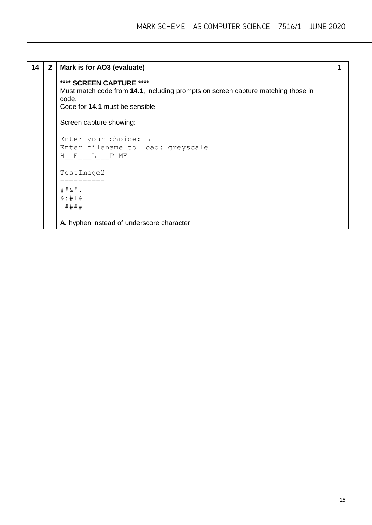| 14 | $\mathbf{2}$ | Mark is for AO3 (evaluate)                                                                                                                               |  |
|----|--------------|----------------------------------------------------------------------------------------------------------------------------------------------------------|--|
|    |              | **** SCREEN CAPTURE ****<br>Must match code from 14.1, including prompts on screen capture matching those in<br>code.<br>Code for 14.1 must be sensible. |  |
|    |              | Screen capture showing:                                                                                                                                  |  |
|    |              | Enter your choice: L<br>Enter filename to load: greyscale<br>H E L PME                                                                                   |  |
|    |              | TestImage2                                                                                                                                               |  |
|    |              | $\#$ $\#$ & $\#$ .<br>$\&: \# + \&$<br>####                                                                                                              |  |
|    |              | A. hyphen instead of underscore character                                                                                                                |  |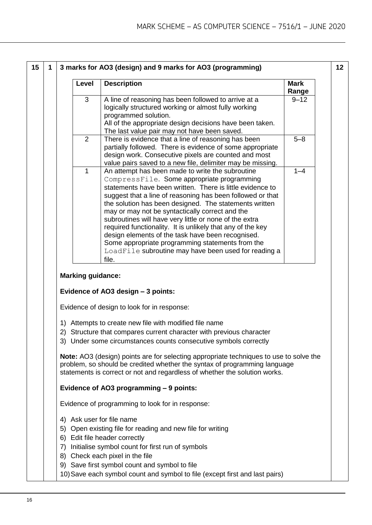| 15 | 1                                                                                                                                                                                                                                                     | 3 marks for AO3 (design) and 9 marks for AO3 (programming)                                                                                                                                                                                                                                   |                                                                                                                                                                                                                                                                                                                                                                                                                                                                                                                                                                                                                                          |                      |  |  |  |  |  |
|----|-------------------------------------------------------------------------------------------------------------------------------------------------------------------------------------------------------------------------------------------------------|----------------------------------------------------------------------------------------------------------------------------------------------------------------------------------------------------------------------------------------------------------------------------------------------|------------------------------------------------------------------------------------------------------------------------------------------------------------------------------------------------------------------------------------------------------------------------------------------------------------------------------------------------------------------------------------------------------------------------------------------------------------------------------------------------------------------------------------------------------------------------------------------------------------------------------------------|----------------------|--|--|--|--|--|
|    |                                                                                                                                                                                                                                                       | Level                                                                                                                                                                                                                                                                                        | <b>Description</b>                                                                                                                                                                                                                                                                                                                                                                                                                                                                                                                                                                                                                       | <b>Mark</b><br>Range |  |  |  |  |  |
|    | 3<br>A line of reasoning has been followed to arrive at a<br>logically structured working or almost fully working<br>programmed solution.<br>All of the appropriate design decisions have been taken.<br>The last value pair may not have been saved. |                                                                                                                                                                                                                                                                                              |                                                                                                                                                                                                                                                                                                                                                                                                                                                                                                                                                                                                                                          |                      |  |  |  |  |  |
|    |                                                                                                                                                                                                                                                       | 2                                                                                                                                                                                                                                                                                            | There is evidence that a line of reasoning has been<br>partially followed. There is evidence of some appropriate<br>design work. Consecutive pixels are counted and most<br>value pairs saved to a new file, delimiter may be missing.                                                                                                                                                                                                                                                                                                                                                                                                   | $5 - 8$              |  |  |  |  |  |
|    |                                                                                                                                                                                                                                                       | 1                                                                                                                                                                                                                                                                                            | An attempt has been made to write the subroutine<br>CompressFile. Some appropriate programming<br>statements have been written. There is little evidence to<br>suggest that a line of reasoning has been followed or that<br>the solution has been designed. The statements written<br>may or may not be syntactically correct and the<br>subroutines will have very little or none of the extra<br>required functionality. It is unlikely that any of the key<br>design elements of the task have been recognised.<br>Some appropriate programming statements from the<br>LoadFile subroutine may have been used for reading a<br>file. | $1 - 4$              |  |  |  |  |  |
|    |                                                                                                                                                                                                                                                       | <b>Marking guidance:</b>                                                                                                                                                                                                                                                                     |                                                                                                                                                                                                                                                                                                                                                                                                                                                                                                                                                                                                                                          |                      |  |  |  |  |  |
|    | Evidence of AO3 design - 3 points:                                                                                                                                                                                                                    |                                                                                                                                                                                                                                                                                              |                                                                                                                                                                                                                                                                                                                                                                                                                                                                                                                                                                                                                                          |                      |  |  |  |  |  |
|    |                                                                                                                                                                                                                                                       | Evidence of design to look for in response:                                                                                                                                                                                                                                                  |                                                                                                                                                                                                                                                                                                                                                                                                                                                                                                                                                                                                                                          |                      |  |  |  |  |  |
|    |                                                                                                                                                                                                                                                       | 1) Attempts to create new file with modified file name<br>2) Structure that compares current character with previous character<br>3) Under some circumstances counts consecutive symbols correctly<br>Note: AO3 (design) points are for selecting appropriate techniques to use to solve the |                                                                                                                                                                                                                                                                                                                                                                                                                                                                                                                                                                                                                                          |                      |  |  |  |  |  |
|    |                                                                                                                                                                                                                                                       | problem, so should be credited whether the syntax of programming language<br>statements is correct or not and regardless of whether the solution works.                                                                                                                                      |                                                                                                                                                                                                                                                                                                                                                                                                                                                                                                                                                                                                                                          |                      |  |  |  |  |  |
|    |                                                                                                                                                                                                                                                       | Evidence of AO3 programming - 9 points:                                                                                                                                                                                                                                                      |                                                                                                                                                                                                                                                                                                                                                                                                                                                                                                                                                                                                                                          |                      |  |  |  |  |  |
|    |                                                                                                                                                                                                                                                       | Evidence of programming to look for in response:                                                                                                                                                                                                                                             |                                                                                                                                                                                                                                                                                                                                                                                                                                                                                                                                                                                                                                          |                      |  |  |  |  |  |
|    |                                                                                                                                                                                                                                                       | 4) Ask user for file name<br>7)                                                                                                                                                                                                                                                              | 5) Open existing file for reading and new file for writing<br>6) Edit file header correctly<br>Initialise symbol count for first run of symbols<br>8) Check each pixel in the file<br>9) Save first symbol count and symbol to file                                                                                                                                                                                                                                                                                                                                                                                                      |                      |  |  |  |  |  |
|    |                                                                                                                                                                                                                                                       |                                                                                                                                                                                                                                                                                              | 10) Save each symbol count and symbol to file (except first and last pairs)                                                                                                                                                                                                                                                                                                                                                                                                                                                                                                                                                              |                      |  |  |  |  |  |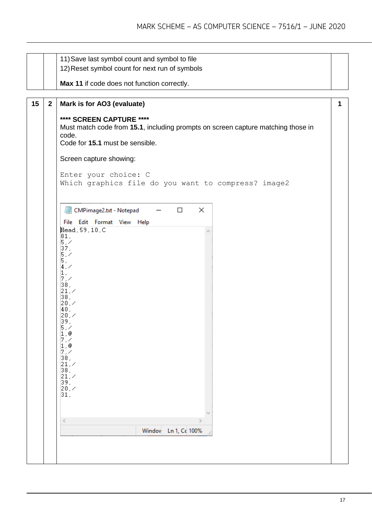|    |                | 11) Save last symbol count and symbol to file                                                                         |  |  |  |  |  |
|----|----------------|-----------------------------------------------------------------------------------------------------------------------|--|--|--|--|--|
|    |                | 12) Reset symbol count for next run of symbols                                                                        |  |  |  |  |  |
|    |                |                                                                                                                       |  |  |  |  |  |
|    |                | Max 11 if code does not function correctly.                                                                           |  |  |  |  |  |
|    |                |                                                                                                                       |  |  |  |  |  |
| 15 | $\overline{2}$ | Mark is for AO3 (evaluate)                                                                                            |  |  |  |  |  |
|    |                | **** SCREEN CAPTURE ****<br>Must match code from 15.1, including prompts on screen capture matching those in<br>code. |  |  |  |  |  |
|    |                | Code for 15.1 must be sensible.                                                                                       |  |  |  |  |  |
|    |                | Screen capture showing:                                                                                               |  |  |  |  |  |
|    |                |                                                                                                                       |  |  |  |  |  |
|    |                | Enter your choice: C                                                                                                  |  |  |  |  |  |
|    |                | Which graphics file do you want to compress? image2                                                                   |  |  |  |  |  |
|    |                |                                                                                                                       |  |  |  |  |  |
|    |                | CMPimage2.txt - Notepad<br>$\times$<br>$\Box$                                                                         |  |  |  |  |  |
|    |                | File Edit Format View Help                                                                                            |  |  |  |  |  |
|    |                | Head, 59, 10, C                                                                                                       |  |  |  |  |  |
|    |                | 81.<br>5/                                                                                                             |  |  |  |  |  |
|    |                | $\begin{bmatrix} 37 \\ 5 \end{bmatrix}$                                                                               |  |  |  |  |  |
|    |                | $ 4\rangle$                                                                                                           |  |  |  |  |  |
|    |                | 1.<br>7/                                                                                                              |  |  |  |  |  |
|    |                | 38,                                                                                                                   |  |  |  |  |  |
|    |                | 21, 7<br>38,                                                                                                          |  |  |  |  |  |
|    |                | 20, 4<br>40,                                                                                                          |  |  |  |  |  |
|    |                | 20, 4                                                                                                                 |  |  |  |  |  |
|    |                | 39,<br>5/                                                                                                             |  |  |  |  |  |
|    |                | 1,@<br>7/                                                                                                             |  |  |  |  |  |
|    |                | 1.@<br>7.7                                                                                                            |  |  |  |  |  |
|    |                | 38,                                                                                                                   |  |  |  |  |  |
|    |                | 21, 4<br>38,                                                                                                          |  |  |  |  |  |
|    |                | $ 21, \times$<br>39,                                                                                                  |  |  |  |  |  |
|    |                | $ 20, \times$                                                                                                         |  |  |  |  |  |
|    |                | 31,                                                                                                                   |  |  |  |  |  |
|    |                |                                                                                                                       |  |  |  |  |  |
|    |                | ⋖<br>≯                                                                                                                |  |  |  |  |  |
|    |                | Windov<br>Ln 1, Cc 100%                                                                                               |  |  |  |  |  |
|    |                |                                                                                                                       |  |  |  |  |  |
|    |                |                                                                                                                       |  |  |  |  |  |
|    |                |                                                                                                                       |  |  |  |  |  |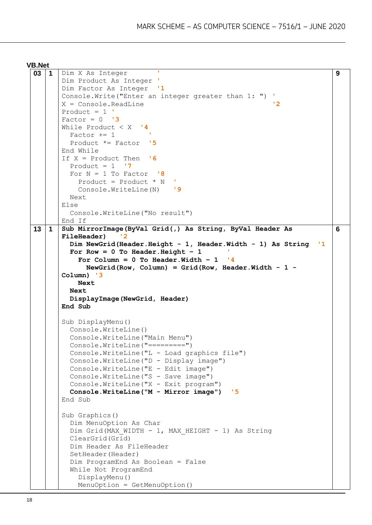```
03 1 Dim X As Integer '
      Dim Product As Integer '
      Dim Factor As Integer '1
      Console.Write("Enter an integer greater than 1: ") '
      X = Console.ReadLine '2
      Product = 1 '
      Factor = 0 '3While Product < X '4
         Factor += 1 '
         Product *= Factor '5
      End While
      If X = Product Then '6
        Product = 1 \cdot 7For N = 1 To Factor \cdot 8
            Product = Product * N '
           Console.WriteLine(N) '9
         Next
      Else
         Console.WriteLine("No result")
      End If
                                                                          9
13 1 Sub MirrorImage(ByVal Grid(,) As String, ByVal Header As 
      FileHeader) '2
         Dim NewGrid(Header.Height - 1, Header.Width - 1) As String '1
        For Row = 0 To Header. Height -1For Column = 0 To Header. Width - 1 '4
             NewGrid(Row, Column) = Grid(Row, Header.Width - 1 -
      Column) '3
           Next 
         Next
         DisplayImage(NewGrid, Header)
      End Sub
      Sub DisplayMenu()
         Console.WriteLine()
         Console.WriteLine("Main Menu")
         Console.WriteLine("=========")
         Console.WriteLine("L - Load graphics file")
         Console.WriteLine("D - Display image")
         Console.WriteLine("E - Edit image")
         Console.WriteLine("S - Save image")
         Console.WriteLine("X - Exit program")
         Console.WriteLine("M - Mirror image") '5
      End Sub
      Sub Graphics()
         Dim MenuOption As Char
        Dim Grid(MAX WIDTH - 1, MAX HEIGHT - 1) As String
         ClearGrid(Grid)
         Dim Header As FileHeader
         SetHeader(Header)
         Dim ProgramEnd As Boolean = False
         While Not ProgramEnd
           DisplayMenu()
           MenuOption = GetMenuOption()
                                                                          6
```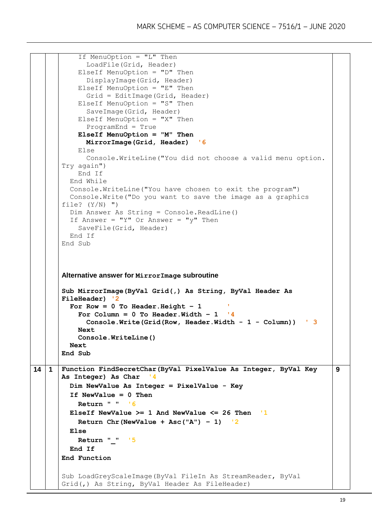```
 If MenuOption = "L" Then
              LoadFile(Grid, Header)
            ElseIf MenuOption = "D" Then
              DisplayImage(Grid, Header)
            ElseIf MenuOption = "E" Then
              Grid = EditImage(Grid, Header)
            ElseIf MenuOption = "S" Then
              SaveImage(Grid, Header)
            ElseIf MenuOption = "X" Then
              ProgramEnd = True
            ElseIf MenuOption = "M" Then
              MirrorImage(Grid, Header) '6
            Else
              Console.WriteLine("You did not choose a valid menu option. 
       Try again")
            End If
          End While
          Console.WriteLine("You have chosen to exit the program")
          Console.Write("Do you want to save the image as a graphics 
       file? (Y/N) ")
          Dim Answer As String = Console.ReadLine()
         If Answer = "Y" Or Answer = "y" Then
            SaveFile(Grid, Header)
          End If
       End Sub
       Alternative answer for MirrorImage subroutine
       Sub MirrorImage(ByVal Grid(,) As String, ByVal Header As 
       FileHeader) '2
          For Row = 0 To Header.Height – 1 '
           For Column = 0 To Header. Width - 1 \tcdot 4 Console.Write(Grid(Row, Header.Width - 1 - Column)) ' 3
            Next
            Console.WriteLine()
          Next
       End Sub
14 1 Function FindSecretChar(ByVal PixelValue As Integer, ByVal Key 
       As Integer) As Char
          Dim NewValue As Integer = PixelValue - Key
          If NewValue = 0 Then
            Return " " '6
          ElseIf NewValue >= 1 And NewValue <= 26 Then '1
            Return Chr(NewValue + Asc("A") – 1) '2
          Else
            Return "_" '5
          End If
       End Function
       Sub LoadGreyScaleImage(ByVal FileIn As StreamReader, ByVal 
       Grid(,) As String, ByVal Header As FileHeader) 
                                                                             9
```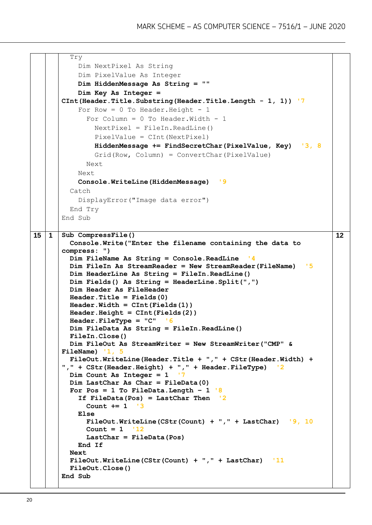```
 Try
            Dim NextPixel As String
            Dim PixelValue As Integer
            Dim HiddenMessage As String = ""
            Dim Key As Integer = 
       CInt(Header.Title.Substring(Header.Title.Length - 1, 1)) '7
           For Row = 0 To Header. Height - 1
             For Column = 0 To Header. Width - 1
               NextPixel = FileIn.ReadLine() PixelValue = CInt(NextPixel)
                HiddenMessage += FindSecretChar(PixelValue, Key) '3, 8
                Grid(Row, Column) = ConvertChar(PixelValue)
              Next
            Next
            Console.WriteLine(HiddenMessage) '9
          Catch
            DisplayError("Image data error")
          End Try
       End Sub
15 1 Sub CompressFile()
          Console.Write("Enter the filename containing the data to 
       compress: ")
          Dim FileName As String = Console.ReadLine '4
          Dim FileIn As StreamReader = New StreamReader(FileName) '5
          Dim HeaderLine As String = FileIn.ReadLine()
          Dim Fields() As String = HeaderLine.Split(",")
          Dim Header As FileHeader
          Header.Title = Fields(0)
          Header.Width = CInt(Fields(1))
          Header.Height = CInt(Fields(2))
          Header.FileType = "C" '6
          Dim FileData As String = FileIn.ReadLine()
          FileIn.Close()
          Dim FileOut As StreamWriter = New StreamWriter("CMP" & 
       FileName) '1, 5
          FileOut.WriteLine(Header.Title + "," + CStr(Header.Width) + 
       "," + CStr(Header.Height) + "," + Header.FileType) '2
          Dim Count As Integer = 1 '7
          Dim LastChar As Char = FileData(0)
         For Pos = 1 To FileData.Length -1 <sup>18</sup>
            If FileData(Pos) = LastChar Then '2
              Count += 1 '3
            Else
              FileOut.WriteLine(CStr(Count) + "," + LastChar) '9, 10
              Count = 1 '12
              LastChar = FileData(Pos)
            End If
          Next
          FileOut.WriteLine(CStr(Count) + "," + LastChar) '11
          FileOut.Close()
       End Sub
                                                                             12
```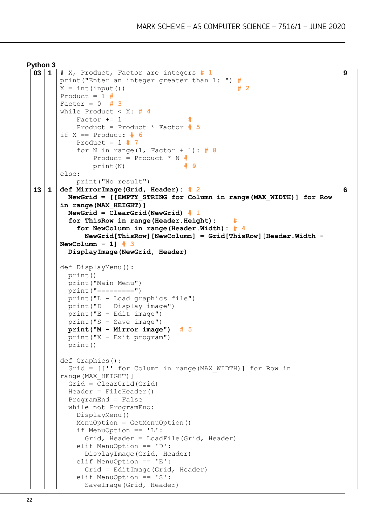```
Python 3
```

```
03 1 # X, Product, Factor are integers # 1
      print("Enter an integer greater than 1: ") #
      X = int(input()) # 2
      Product = 1 #
      Factor = 0 # 3
      while Product < X: # 4
          Factor += 1 Product = Product * Factor # 5
      if X == Product: # 6
           Product = 1 # 7
           for N in range(1, Factor + 1): # 8
               Product = Product * N #
               print(N) # 9
      else:
           print("No result")
                                                                             9
13 1 def MirrorImage(Grid, Header): # 2
         NewGrid = [[EMPTY_STRING for Column in range(MAX_WIDTH)] for Row 
      in range(MAX_HEIGHT)]
         NewGrid = ClearGrid(NewGrid) # 1
        for ThisRow in range(Header.Height):
           for NewColumn in range(Header.Width): # 4
             NewGrid[ThisRow][NewColumn] = Grid[ThisRow][Header.Width -
      NewColumn - 1] # 3
         DisplayImage(NewGrid, Header)
      def DisplayMenu():
         print()
         print("Main Menu")
         print("=========")
         print("L - Load graphics file") 
         print("D - Display image")
         print("E - Edit image")
         print("S - Save image")
         print("M - Mirror image") # 5
         print("X - Exit program") 
         print()
      def Graphics():
        Grid = [[''] for Column in range (MAX WIDTH)] for Row in
      range(MAX_HEIGHT)]
         Grid = ClearGrid(Grid)
         Header = FileHeader()
         ProgramEnd = False
         while not ProgramEnd:
           DisplayMenu()
           MenuOption = GetMenuOption()
           if MenuOption == 'L':
             Grid, Header = LoadFile(Grid, Header)
           elif MenuOption == 'D':
             DisplayImage(Grid, Header) 
           elif MenuOption == 'E':
             Grid = EditImage(Grid, Header)
           elif MenuOption == 'S': 
             SaveImage(Grid, Header) 
                                                                             6
```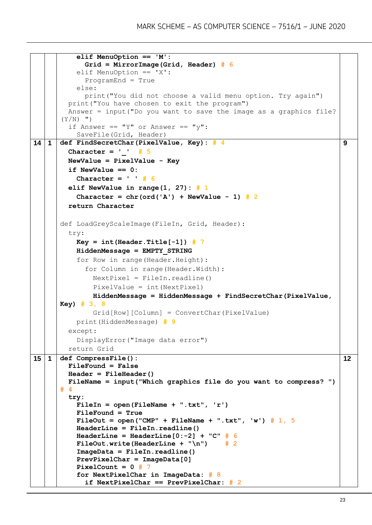```
 elif MenuOption == 'M':
              Grid = MirrorImage(Grid, Header) # 6
           elif MenuOption == 'X':
              ProgramEnd = True
            else:
              print("You did not choose a valid menu option. Try again")
         print("You have chosen to exit the program")
         Answer = input("Do you want to save the image as a graphics file? 
       (Y/N) ")
        if Answer == "Y" or Answer == "v":
            SaveFile(Grid, Header)
14 1 def FindSecretChar(PixelValue, Key): # 4
         Character = '_' # 5
         NewValue = PixelValue - Key 
         if NewValue == 0:
           Character = ' ' # 6
         elif NewValue in range(1, 27): # 1
          Character = chr(ord('A') + NewValue - 1) # 2 return Character 
      def LoadGreyScaleImage(FileIn, Grid, Header):
         try:
          Key = int(Header.Title[-1]) # 7 HiddenMessage = EMPTY_STRING
            for Row in range(Header.Height):
              for Column in range(Header.Width):
                NextPixel = FileIn.readline()
                PixelValue = int(NextPixel)
                HiddenMessage = HiddenMessage + FindSecretChar(PixelValue, 
      Key) # 3, 8
                Grid[Row][Column] = ConvertChar(PixelValue)
           print(HiddenMessage) # 9
         except:
            DisplayError("Image data error") 
         return Grid
                                                                               9
15 1 def CompressFile():
         FileFound = False
         Header = FileHeader()
         FileName = input("Which graphics file do you want to compress? ") 
      # 4
         try:
           FileIn = open(FileName + ".txt", 'r') 
           FileFound = True
          FileOut = open("CMP" + FileName + ".txt", 'w') # 1, 5
           HeaderLine = FileIn.readline()
          HeaderLine = HeaderLine[0:-2] + "C" # 6 FileOut.write(HeaderLine + "\n") # 2
           ImageData = FileIn.readline()
           PrevPixelChar = ImageData[0]
           PixelCount = 0 # 7
           for NextPixelChar in ImageData: # 8
              if NextPixelChar == PrevPixelChar: # 2
                                                                               12
```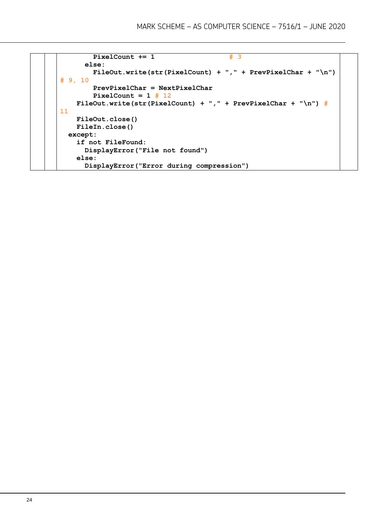```
PixelCount += 1 # 3
       else:
         FileOut.write(str(PixelCount) + "," + PrevPixelChar + "\n") 
# 9, 10
         PrevPixelChar = NextPixelChar
         PixelCount = 1 # 12
    FileOut.write(str(PixelCount) + "," + PrevPixelChar + "\n") # 
11
     FileOut.close()
     FileIn.close() 
   except:
     if not FileFound:
       DisplayError("File not found")
     else:
      DisplayError("Error during compression")
```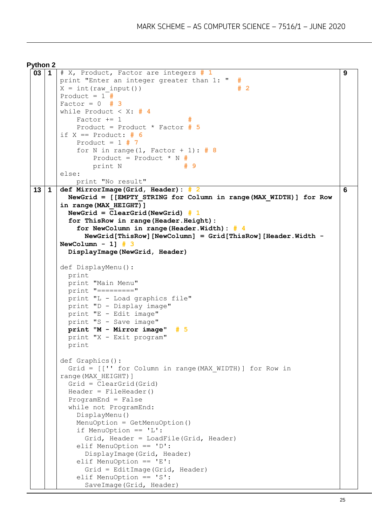```
Python 2
```

```
03 1 # X, Product, Factor are integers # 1
      print "Enter an integer greater than 1: " #
      X = int(raw input() ) # 2
      Product = 1 \#Factor = 0 # 3
      while Product < X: # 4
          Factor += 1 Product = Product * Factor # 5
      if X == Product: # 6
           Product = 1 # 7
           for N in range(1, Factor + 1): # 8
               Product = Product * N #
               print N # 9
      else:
           print "No result"
                                                                             9
13 1 def MirrorImage(Grid, Header): # 2
         NewGrid = [[EMPTY_STRING for Column in range(MAX_WIDTH)] for Row 
      in range(MAX_HEIGHT)]
         NewGrid = ClearGrid(NewGrid) # 1
         for ThisRow in range(Header.Height):
           for NewColumn in range(Header.Width): # 4
             NewGrid[ThisRow][NewColumn] = Grid[ThisRow][Header.Width -
      NewColumn - 1] # 3
         DisplayImage(NewGrid, Header)
      def DisplayMenu():
         print
         print "Main Menu"
         print "========="
         print "L - Load graphics file"
         print "D - Display image"
         print "E - Edit image"
         print "S - Save image"
         print "M - Mirror image" # 5
         print "X - Exit program"
         print
      def Graphics():
        Grid = [[''] for Column in range (MAX WIDTH)] for Row in
      range(MAX_HEIGHT)]
         Grid = ClearGrid(Grid)
         Header = FileHeader()
         ProgramEnd = False
         while not ProgramEnd:
           DisplayMenu()
           MenuOption = GetMenuOption()
           if MenuOption == 'L':
             Grid, Header = LoadFile(Grid, Header)
           elif MenuOption == 'D':
             DisplayImage(Grid, Header) 
           elif MenuOption == 'E':
             Grid = EditImage(Grid, Header) 
           elif MenuOption == 'S': 
             SaveImage(Grid, Header)
                                                                             6
```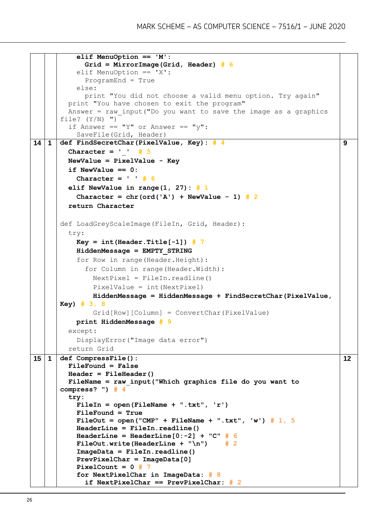```
 elif MenuOption == 'M':
              Grid = MirrorImage(Grid, Header) # 6
           elif MenuOption == 'X':
              ProgramEnd = True
            else:
             print "You did not choose a valid menu option. Try again"
         print "You have chosen to exit the program"
        Answer = raw input ("Do you want to save the image as a graphics
      file? (Y/N) ")
        if Answer == "Y" or Answer == "v":
            SaveFile(Grid, Header)
14 1 def FindSecretChar(PixelValue, Key): # 4
        Character = ' ' # 5
         NewValue = PixelValue - Key 
         if NewValue == 0:
           Character = ' ' # 6
         elif NewValue in range(1, 27): # 1
          Character = chr(ord('A') + NewValue - 1) # 2 return Character 
      def LoadGreyScaleImage(FileIn, Grid, Header):
         try:
          Key = int(Header.Title[-1]) # 7 HiddenMessage = EMPTY_STRING
            for Row in range(Header.Height):
              for Column in range(Header.Width):
                NextPixel = FileIn.readline()
                PixelValue = int(NextPixel)
                HiddenMessage = HiddenMessage + FindSecretChar(PixelValue, 
      Key) # 3, 8
                Grid[Row][Column] = ConvertChar(PixelValue)
           print HiddenMessage # 9
         except:
            DisplayError("Image data error") 
         return Grid
                                                                              9
15 1 def CompressFile():
         FileFound = False
         Header = FileHeader()
         FileName = raw_input("Which graphics file do you want to 
      compress? ") # 4
         try:
           FileIn = open(FileName + ".txt", 'r') 
           FileFound = True
          FileOut = open("CMP" + FileName + ".txt", 'w') # 1, 5
           HeaderLine = FileIn.readline()
          HeaderLine = HeaderLine[0:-2] + "C" # 6 FileOut.write(HeaderLine + "\n") # 2
           ImageData = FileIn.readline()
           PrevPixelChar = ImageData[0]
           PixelCount = 0 # 7
           for NextPixelChar in ImageData: # 8
              if NextPixelChar == PrevPixelChar: # 2
                                                                              12
```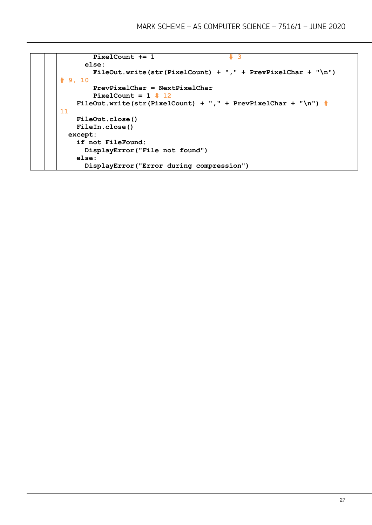```
PixelCount += 1 # 3
       else:
         FileOut.write(str(PixelCount) + "," + PrevPixelChar + "\n") 
# 9, 10
         PrevPixelChar = NextPixelChar
         PixelCount = 1 # 12
    FileOut.write(str(PixelCount) + "," + PrevPixelChar + "\n") # 
11
     FileOut.close()
     FileIn.close() 
   except:
     if not FileFound:
       DisplayError("File not found")
     else:
      DisplayError("Error during compression")
```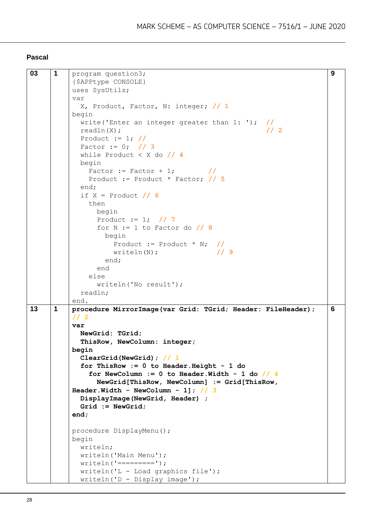#### **Pascal**

```
03 1 program question3;
          {$APPtype CONSOLE}
          uses SysUtils;
          var
             X, Product, Factor, N: integer; // 1
         begin
             write('Enter an integer greater than 1: '); //
             readln(X); // 2
             Product := 1; //
             Factor := 0; // 3
             while Product < X do // 4
             begin
               Factor := Factor + 1; //
               Product := Product * Factor; // 5
             end;
             if X = Product // 6
              then
                begin
                Product := 1; // 7
                 for N := 1 to Factor do // 8
                  begin
                     Product := Product * N; //
                     writeln(N); // 9
                   end;
                 end
               else
                 writeln('No result');
             readln;
          end. 
                                                                        9
13 1 procedure MirrorImage(var Grid: TGrid; Header: FileHeader); 
          // 2
          var
             NewGrid: TGrid;
             ThisRow, NewColumn: integer;
         begin
             ClearGrid(NewGrid); // 1
             for ThisRow := 0 to Header.Height - 1 do
               for NewColumn := 0 to Header.Width - 1 do // 4
                 NewGrid[ThisRow, NewColumn] := Grid[ThisRow, 
         Header.Width - NewColumn - 1]; // 3
             DisplayImage(NewGrid, Header) ;
             Grid := NewGrid;
          end;
          procedure DisplayMenu();
         begin
             writeln;
             writeln('Main Menu');
            writeln('-----');
             writeln('L - Load graphics file');
             writeln('D - Display image');
                                                                        6
```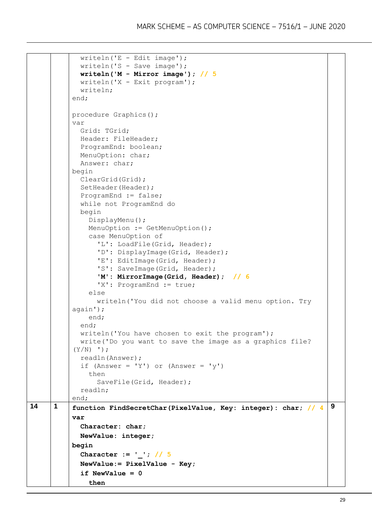```
writeln('E - Edit image'); writeln('S - Save image');
             writeln('M - Mirror image'); // 5
             writeln('X - Exit program');
             writeln;
          end;
          procedure Graphics();
          var
             Grid: TGrid;
             Header: FileHeader;
             ProgramEnd: boolean;
             MenuOption: char;
             Answer: char;
          begin
             ClearGrid(Grid);
              SetHeader(Header);
              ProgramEnd := false;
             while not ProgramEnd do
             begin
                DisplayMenu();
              MenuOption := GetMenuOption();
                case MenuOption of
                  'L': LoadFile(Grid, Header);
                 'D': DisplayImage(Grid, Header);
                  'E': EditImage(Grid, Header);
                  'S': SaveImage(Grid, Header);
                  'M': MirrorImage(Grid, Header); // 6
                 'X': ProgramEnd := true;
                else
                  writeln('You did not choose a valid menu option. Try 
          again');
                end;
              end;
             writeln('You have chosen to exit the program');
             write('Do you want to save the image as a graphics file? 
           (Y/N) ');
             readln(Answer);
             if (Answer = 'Y') or (Answer = 'Y')
                then
                 SaveFile(Grid, Header);
              readln;
          end;
14 1 function FindSecretChar(PixelValue, Key: integer): char; // 4
          var
              Character: char;
             NewValue: integer;
          begin
             Character := '_'; // 5
             NewValue:= PixelValue - Key;
             if NewValue = 0 then
                                                                             9
```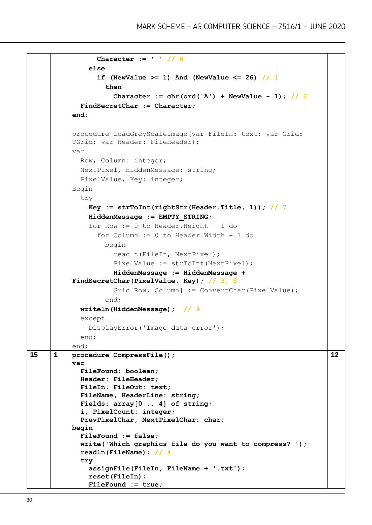```
 Character := ' ' // 6
                else
                  if (NewValue >= 1) And (NewValue <= 26) // 1
                    then
                      Character := chr(ord('A') + NewValue - 1); // 2
             FindSecretChar := Character;
          end;
          procedure LoadGreyScaleImage(var FileIn: text; var Grid: 
          TGrid; var Header: FileHeader);
          var
             Row, Column: integer;
             NextPixel, HiddenMessage: string;
             PixelValue, Key: integer;
          Begin
             try
                Key := strToInt(rightStr(Header.Title, 1)); // 7
                HiddenMessage := EMPTY_STRING;
                for Row := 0 to Header.Height - 1 do
                  for Column := 0 to Header.Width - 1 do
                    begin
                      readln(FileIn, NextPixel);
                     PixelValue := strToInt(NextPixel);
                      HiddenMessage := HiddenMessage + 
          FindSecretChar(PixelValue, Key); // 3, 8
                     Grid[Row, Column] := ConvertChar(PixelValue);
                    end;
             writeln(HiddenMessage); // 9
             except
                DisplayError('Image data error');
             end;
          end; 
15 1 procedure CompressFile();
          var
             FileFound: boolean;
             Header: FileHeader;
             FileIn, FileOut: text;
             FileName, HeaderLine: string;
             Fields: array[0 .. 4] of string;
             i, PixelCount: integer;
             PrevPixelChar, NextPixelChar: char;
          begin
             FileFound := false;
             write('Which graphics file do you want to compress? ');
             readln(FileName); // 4
             try
                assignFile(FileIn, FileName + '.txt');
                reset(FileIn);
                FileFound := true;
                                                                             12
```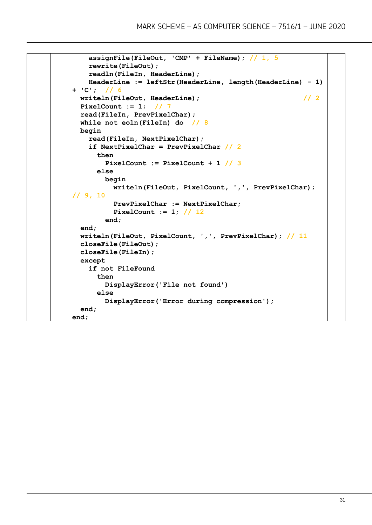```
 assignFile(FileOut, 'CMP' + FileName); // 1, 5
     rewrite(FileOut);
     readln(FileIn, HeaderLine);
     HeaderLine := leftStr(HeaderLine, length(HeaderLine) - 1) 
+ 'C'; // 6
  writeln(FileOut, HeaderLine); // 2
  PixelCount := 1; // 7
  read(FileIn, PrevPixelChar);
  while not eoln(FileIn) do // 8
  begin
     read(FileIn, NextPixelChar);
     if NextPixelChar = PrevPixelChar // 2
       then
         PixelCount := PixelCount + 1 // 3
       else
        begin
           writeln(FileOut, PixelCount, ',', PrevPixelChar); 
// 9, 10
           PrevPixelChar := NextPixelChar;
           PixelCount := 1; // 12
         end;
   end;
  writeln(FileOut, PixelCount, ',', PrevPixelChar); // 11
   closeFile(FileOut);
  closeFile(FileIn); 
  except
     if not FileFound
       then
         DisplayError('File not found')
       else
         DisplayError('Error during compression');
   end;
end;
```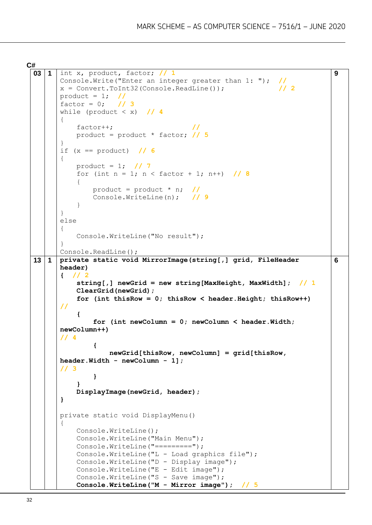**C#**

```
03 1 int x, product, factor; // 1
      Console.Write("Enter an integer greater than 1: "); //
      x = Convert.ToInt32(Console.ReadLine()); // 2
      product = 1; \frac{1}{1} \frac{1}{3}factor = 0;
      while (product < x) // 4
      {
       factor++; //
       product = product * factor; // 5
      }
      if (x == product) // 6
      {
           product = 1; // 7
          for (int n = 1; n < factor + 1; n++) // 8
           {
               product = product * n; //
               Console.WriteLine(n); // 9
           }
      }
      else
      {
           Console.WriteLine("No result");
      }
      Console.ReadLine();
                                                                          9
13 1 private static void MirrorImage(string[,] grid, FileHeader 
      header)
      { // 2
           string[,] newGrid = new string[MaxHeight, MaxWidth]; // 1
           ClearGrid(newGrid);
           for (int thisRow = 0; thisRow < header.Height; thisRow++) 
      //
           {
               for (int newColumn = 0; newColumn < header.Width; 
      newColumn++) 
      // 4
       {
                   newGrid[thisRow, newColumn] = grid[thisRow, 
      header.Width - newColumn - 1]; 
      // 3
               }
           }
           DisplayImage(newGrid, header);
      }
      private static void DisplayMenu()
      {
           Console.WriteLine();
           Console.WriteLine("Main Menu");
          Console.WriteLine("=========");
           Console.WriteLine("L - Load graphics file");
           Console.WriteLine("D - Display image");
           Console.WriteLine("E - Edit image");
          Console.WriteLine("S - Save image");
           Console.WriteLine("M - Mirror image"); // 5
                                                                          6
```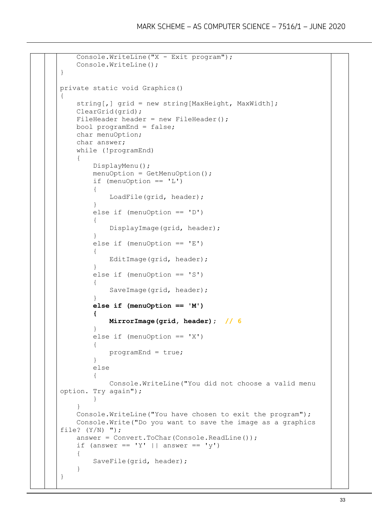```
 Console.WriteLine("X - Exit program");
    Console.WriteLine();
}
private static void Graphics()
{
   string[, ] grid = new string[MaxHeight, MaxWidth];
    ClearGrid(grid);
   FileHeader header = new FileHeader();
    bool programEnd = false;
    char menuOption;
    char answer;
    while (!programEnd)
    {
        DisplayMenu();
       menuOption = GetMenuOption();
        if (menuOption == 'L')
\{ LoadFile(grid, header);
 }
        else if (menuOption == 'D')
\{ DisplayImage(grid, header);
 }
       else if (menuOption == 'E')\{ EditImage(grid, header);
 }
        else if (menuOption == 'S')
\{SaveImage(grid, header);
 }
        else if (menuOption == 'M')
 {
            MirrorImage(grid, header); // 6
 }
        else if (menuOption == 'X')
\{ programEnd = true;
 }
        else
\{ Console.WriteLine("You did not choose a valid menu 
option. Try again");
 }
     }
    Console.WriteLine("You have chosen to exit the program");
    Console.Write("Do you want to save the image as a graphics 
file? (Y/N) ");
    answer = Convert.ToChar(Console.ReadLine());
   if (answer == 'Y' || answer == 'Y')
    {
        SaveFile(grid, header);
    }
}
```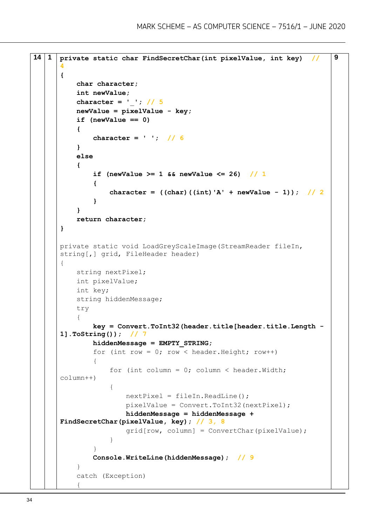```
14 1 private static char FindSecretChar(int pixelValue, int key) // 
      4
      {
           char character;
           int newValue;
           character = '_'; // 5
           newValue = pixelValue - key;
           if (newValue == 0)
           {
               character = ' '; // 6
           }
           else
           {
              if (newValue >= 1 && newValue <= 26) // 1
       {
                  character = ((char) ((int) 'A' + newValue - 1)) ; // 2 }
           }
           return character;
      }
      private static void LoadGreyScaleImage(StreamReader fileIn, 
      string[,] grid, FileHeader header)
      {
           string nextPixel;
           int pixelValue;
           int key;
           string hiddenMessage;
           try
           {
               key = Convert.ToInt32(header.title[header.title.Length -
      1].ToString()); // 7
               hiddenMessage = EMPTY_STRING;
              for (int row = 0; row < header. Height; row++)
      \{for (int column = 0; column < header. Width;
      column++)
       {
                      nextFixed = fileIn.FeadLine();
                       pixelValue = Convert.ToInt32(nextPixel);
                       hiddenMessage = hiddenMessage + 
      FindSecretChar(pixelValue, key); // 3, 8
                       grid[row, column] = ConvertChar(pixelValue);
       }
       }
               Console.WriteLine(hiddenMessage); // 9
           }
           catch (Exception)
      \{9
```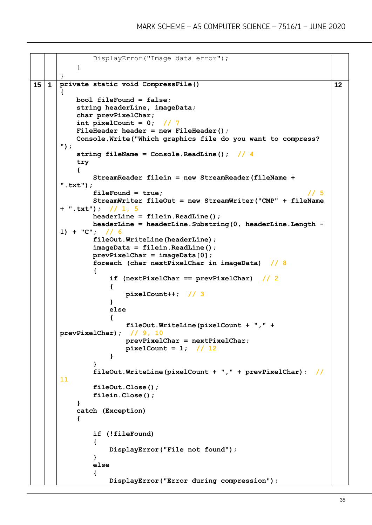```
 DisplayError("Image data error");
           }
      }
15 1 private static void CompressFile()
      {
           bool fileFound = false;
           string headerLine, imageData;
           char prevPixelChar;
          int pixelCount = 0; // 7
           FileHeader header = new FileHeader();
           Console.Write("Which graphics file do you want to compress? 
      ");
           string fileName = Console.ReadLine(); // 4
           try
           {
               StreamReader filein = new StreamReader(fileName + 
      ".txt");
               fileFound = true; // 5
               StreamWriter fileOut = new StreamWriter("CMP" + fileName 
      + ".txt"); // 1, 5
              headerLine = filein.ReadLine();
              headerLine = headerLine.Substring(0, headerLine.Length -
      1) + "C"; // 6
               fileOut.WriteLine(headerLine);
               imageData = filein.ReadLine();
               prevPixelChar = imageData[0];
               foreach (char nextPixelChar in imageData) // 8
       {
                   if (nextPixelChar == prevPixelChar) // 2
       {
                      pixelCount++; // 3
       }
                   else
       {
                      fileOut.WriteLine(pixelCount + "," + 
      prevPixelChar); // 9, 10
                      prevPixelChar = nextPixelChar;
                      pixelCount = 1; // 12
       }
               }
               fileOut.WriteLine(pixelCount + "," + prevPixelChar); // 
      11
               fileOut.Close();
               filein.Close();
           }
           catch (Exception)
           {
               if (!fileFound)
       {
                  DisplayError("File not found");
       }
               else
       {
                  DisplayError("Error during compression");
                                                                       12
```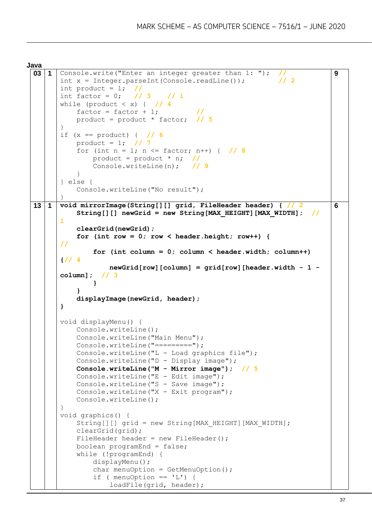**Java**

```
03 1 Console.write("Enter an integer greater than 1: "); //
      int x = Integer.parseInt(Console.readLine()); \frac{1}{2}int product = 1; //
      int factor = 0; // 3 // 1
      while (product \langle x \rangle { \| / 4
          factor = factor + 1; product = product * factor; // 5
      }
      if (x == product) \{  \  \  \}/6 product = 1; // 7
          for (int n = 1; n \le factor; n++) { // 8
               product = product * n; //
               Console.writeLine(n); // 9
           }
      } else {
           Console.writeLine("No result");
      }
                                                                           9
13 1 void mirrorImage(String[][] grid, FileHeader header) { // 2
           String[][] newGrid = new String[MAX_HEIGHT][MAX_WIDTH]; // 
      1
           clearGrid(newGrid);
          for (int row = 0; row < header.height; row++) {
      //
               for (int column = 0; column < header.width; column++) 
      {// 4
                   newGrid[row][column] = grid[row][header.width - 1 -
      column]; // 3
       } 
           }
           displayImage(newGrid, header);
      }
      void displayMenu() {
           Console.writeLine();
           Console.writeLine("Main Menu");
          Console.writeLine("=========");
           Console.writeLine("L - Load graphics file"); 
           Console.writeLine("D - Display image");
           Console.writeLine("M - Mirror image"); // 5
           Console.writeLine("E - Edit image");
          Console.writeLine("S - Save image");
           Console.writeLine("X - Exit program"); 
           Console.writeLine();
      }
      void graphics() {
          String[][] grid = new String[MAX HEIGHT][MAX WIDTH];
           clearGrid(grid);
          FileHeader header = new FileHeader();
           boolean programEnd = false;
           while (!programEnd) {
               displayMenu();
              char menuOption = GetMenuOption();
              if ( menuOption == 'L') {
                   loadFile(grid, header);
                                                                           6
```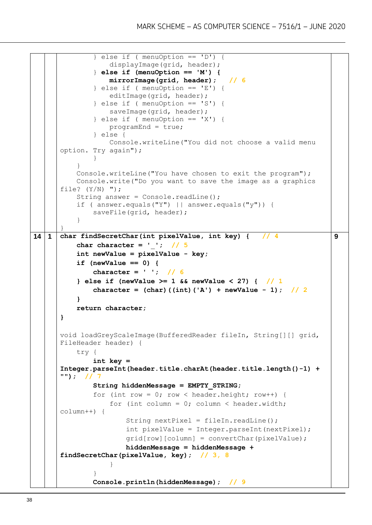```
\} else if ( menuOption == 'D') {
                   displayImage(grid, header);
               } else if (menuOption == 'M') {
                   mirrorImage(grid, header); // 6
               } else if ( menuOption == 'E') {
                   editImage(grid, header); 
               } else if ( menuOption == 'S') { 
                  saveImage(grid, header);
              } else if ( menuOption == 'X') {
                   programEnd = true;
               } else {
                   Console.writeLine("You did not choose a valid menu 
      option. Try again");
       }
           }
           Console.writeLine("You have chosen to exit the program");
           Console.write("Do you want to save the image as a graphics 
      file? (Y/N) ");
          String answer = Console.readLine();
           if ( answer.equals("Y") || answer.equals("y")) {
              saveFile(grid, header);
           }
      }
14 1 char findSecretChar(int pixelValue, int key) { // 4
           char character = '_'; // 5
           int newValue = pixelValue - key;
           if (newValue == 0) {
               character = ' '; // 6
           } else if (newValue >= 1 && newValue < 27) { // 1
              character = (char) ((int) ('A') + newValue - 1); // 2 }
           return character;
      }
      void loadGreyScaleImage(BufferedReader fileIn, String[][] grid, 
      FileHeader header) {
           try {
               int key = 
      Integer.parseInt(header.title.charAt(header.title.length()-1) + 
      ""); // 7
               String hiddenMessage = EMPTY_STRING;
              for (int row = 0; row < header.height; row++) {
                  for (int column = 0; column < header.width;
      column++) {
                       String nextPixel = fileIn.readLine();
                        int pixelValue = Integer.parseInt(nextPixel);
                        grid[row][column] = convertChar(pixelValue);
                       hiddenMessage = hiddenMessage + 
      findSecretChar(pixelValue, key); // 3, 8
       }
       }
              Console.println(hiddenMessage);
                                                                           9
```